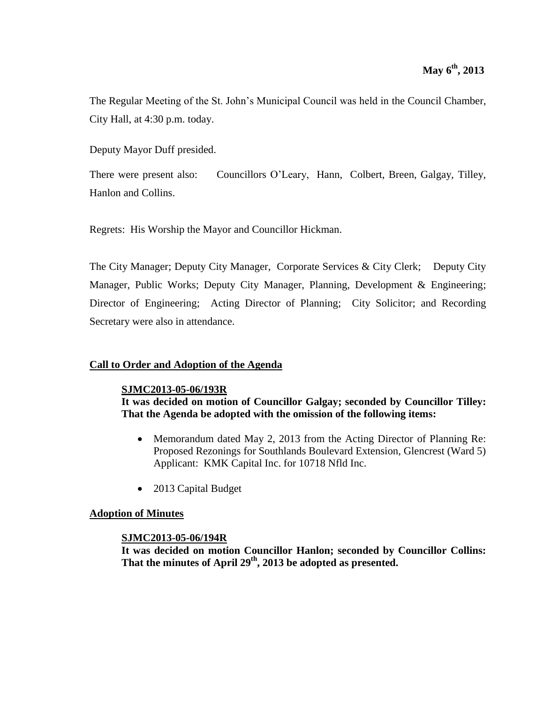The Regular Meeting of the St. John's Municipal Council was held in the Council Chamber, City Hall, at 4:30 p.m. today.

Deputy Mayor Duff presided.

There were present also: Councillors O'Leary, Hann, Colbert, Breen, Galgay, Tilley, Hanlon and Collins.

Regrets: His Worship the Mayor and Councillor Hickman.

The City Manager; Deputy City Manager, Corporate Services & City Clerk; Deputy City Manager, Public Works; Deputy City Manager, Planning, Development & Engineering; Director of Engineering; Acting Director of Planning; City Solicitor; and Recording Secretary were also in attendance.

# **Call to Order and Adoption of the Agenda**

# **SJMC2013-05-06/193R**

**It was decided on motion of Councillor Galgay; seconded by Councillor Tilley: That the Agenda be adopted with the omission of the following items:**

- Memorandum dated May 2, 2013 from the Acting Director of Planning Re: Proposed Rezonings for Southlands Boulevard Extension, Glencrest (Ward 5) Applicant: KMK Capital Inc. for 10718 Nfld Inc.
- 2013 Capital Budget

# **Adoption of Minutes**

# **SJMC2013-05-06/194R**

**It was decided on motion Councillor Hanlon; seconded by Councillor Collins: That the minutes of April 29 th , 2013 be adopted as presented.**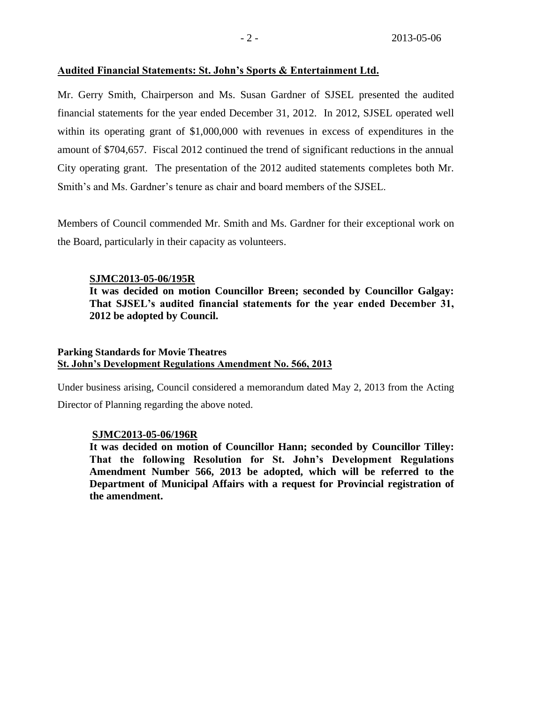### **Audited Financial Statements: St. John's Sports & Entertainment Ltd.**

Mr. Gerry Smith, Chairperson and Ms. Susan Gardner of SJSEL presented the audited financial statements for the year ended December 31, 2012. In 2012, SJSEL operated well within its operating grant of \$1,000,000 with revenues in excess of expenditures in the amount of \$704,657. Fiscal 2012 continued the trend of significant reductions in the annual City operating grant. The presentation of the 2012 audited statements completes both Mr. Smith's and Ms. Gardner's tenure as chair and board members of the SJSEL.

Members of Council commended Mr. Smith and Ms. Gardner for their exceptional work on the Board, particularly in their capacity as volunteers.

### **SJMC2013-05-06/195R**

**It was decided on motion Councillor Breen; seconded by Councillor Galgay: That SJSEL's audited financial statements for the year ended December 31, 2012 be adopted by Council.**

### **Parking Standards for Movie Theatres St. John's Development Regulations Amendment No. 566, 2013**

Under business arising, Council considered a memorandum dated May 2, 2013 from the Acting Director of Planning regarding the above noted.

### **SJMC2013-05-06/196R**

**It was decided on motion of Councillor Hann; seconded by Councillor Tilley: That the following Resolution for St. John's Development Regulations Amendment Number 566, 2013 be adopted, which will be referred to the Department of Municipal Affairs with a request for Provincial registration of the amendment.**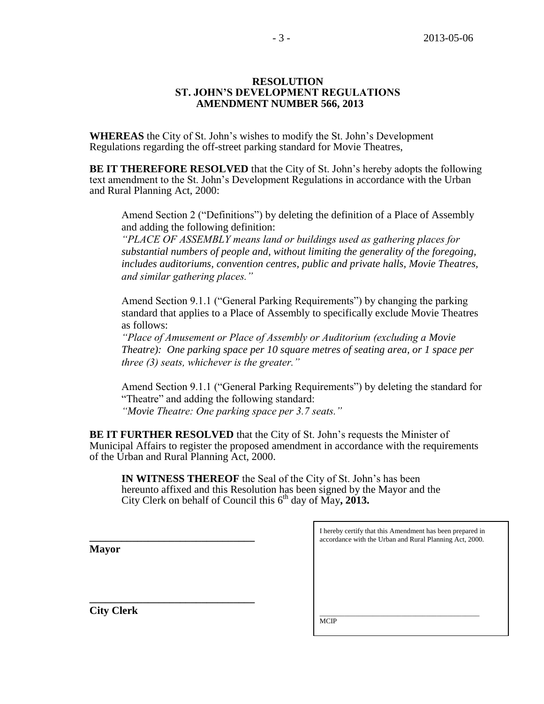### **RESOLUTION ST. JOHN'S DEVELOPMENT REGULATIONS AMENDMENT NUMBER 566, 2013**

**WHEREAS** the City of St. John's wishes to modify the St. John's Development Regulations regarding the off-street parking standard for Movie Theatres,

**BE IT THEREFORE RESOLVED** that the City of St. John's hereby adopts the following text amendment to the St. John's Development Regulations in accordance with the Urban and Rural Planning Act, 2000:

Amend Section 2 ("Definitions") by deleting the definition of a Place of Assembly and adding the following definition:

*"PLACE OF ASSEMBLY means land or buildings used as gathering places for substantial numbers of people and, without limiting the generality of the foregoing, includes auditoriums, convention centres, public and private halls, Movie Theatres, and similar gathering places."*

Amend Section 9.1.1 ("General Parking Requirements") by changing the parking standard that applies to a Place of Assembly to specifically exclude Movie Theatres as follows:

*"Place of Amusement or Place of Assembly or Auditorium (excluding a Movie Theatre): One parking space per 10 square metres of seating area, or 1 space per three (3) seats, whichever is the greater."*

Amend Section 9.1.1 ("General Parking Requirements") by deleting the standard for "Theatre" and adding the following standard: *"Movie Theatre: One parking space per 3.7 seats."*

**BE IT FURTHER RESOLVED** that the City of St. John's requests the Minister of Municipal Affairs to register the proposed amendment in accordance with the requirements of the Urban and Rural Planning Act, 2000.

**IN WITNESS THEREOF** the Seal of the City of St. John's has been hereunto affixed and this Resolution has been signed by the Mayor and the City Clerk on behalf of Council this 6 th day of May**, 2013.**

| I hereby certify that this Amendment has been prepared in<br>accordance with the Urban and Rural Planning Act, 2000. |
|----------------------------------------------------------------------------------------------------------------------|
|                                                                                                                      |
|                                                                                                                      |
|                                                                                                                      |
|                                                                                                                      |
| <b>MCIP</b>                                                                                                          |
|                                                                                                                      |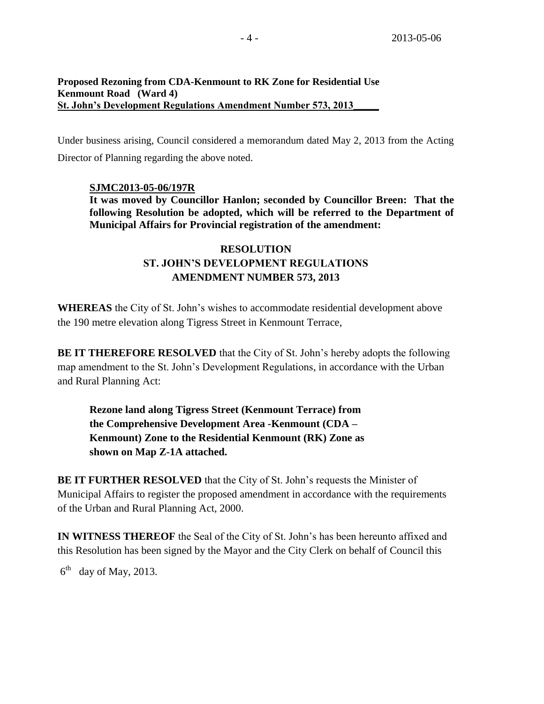### **Proposed Rezoning from CDA-Kenmount to RK Zone for Residential Use Kenmount Road (Ward 4) St. John's Development Regulations Amendment Number 573, 2013\_\_\_\_\_**

Under business arising, Council considered a memorandum dated May 2, 2013 from the Acting Director of Planning regarding the above noted.

# **SJMC2013-05-06/197R**

**It was moved by Councillor Hanlon; seconded by Councillor Breen: That the following Resolution be adopted, which will be referred to the Department of Municipal Affairs for Provincial registration of the amendment:**

# **RESOLUTION ST. JOHN'S DEVELOPMENT REGULATIONS AMENDMENT NUMBER 573, 2013**

**WHEREAS** the City of St. John's wishes to accommodate residential development above the 190 metre elevation along Tigress Street in Kenmount Terrace,

**BE IT THEREFORE RESOLVED** that the City of St. John's hereby adopts the following map amendment to the St. John's Development Regulations, in accordance with the Urban and Rural Planning Act:

**Rezone land along Tigress Street (Kenmount Terrace) from the Comprehensive Development Area -Kenmount (CDA – Kenmount) Zone to the Residential Kenmount (RK) Zone as shown on Map Z-1A attached.**

**BE IT FURTHER RESOLVED** that the City of St. John's requests the Minister of Municipal Affairs to register the proposed amendment in accordance with the requirements of the Urban and Rural Planning Act, 2000.

**IN WITNESS THEREOF** the Seal of the City of St. John's has been hereunto affixed and this Resolution has been signed by the Mayor and the City Clerk on behalf of Council this

 $6<sup>th</sup>$  day of May, 2013.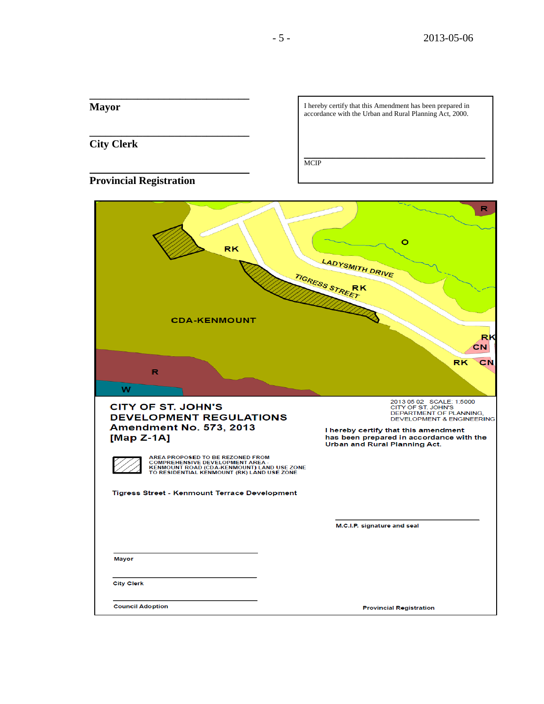| <b>Mayor</b>                                                                                                                                                                                                                                                                              | I hereby certify that this Amendment has been prepared in<br>accordance with the Urban and Rural Planning Act, 2000.                                                                                                                   |
|-------------------------------------------------------------------------------------------------------------------------------------------------------------------------------------------------------------------------------------------------------------------------------------------|----------------------------------------------------------------------------------------------------------------------------------------------------------------------------------------------------------------------------------------|
| <b>City Clerk</b>                                                                                                                                                                                                                                                                         | <b>MCIP</b>                                                                                                                                                                                                                            |
| <b>Provincial Registration</b>                                                                                                                                                                                                                                                            |                                                                                                                                                                                                                                        |
| <b>RK</b>                                                                                                                                                                                                                                                                                 | R<br>о<br>LADYSMITH DRIVE<br>TIGRESS STREET<br>RK                                                                                                                                                                                      |
| <b>CDA-KENMOUNT</b>                                                                                                                                                                                                                                                                       | <b>RK</b>                                                                                                                                                                                                                              |
| R<br>w                                                                                                                                                                                                                                                                                    | СN<br><b>RK</b><br>CN                                                                                                                                                                                                                  |
| <b>CITY OF ST. JOHN'S</b><br><b>DEVELOPMENT REGULATIONS</b><br><b>Amendment No. 573, 2013</b><br>[Map $Z-1A$ ]<br>AREA PROPOSED TO BE REZONED FROM<br><b>COMPREHENSIVE DEVELOPMENT AREA -</b><br>KENMOUNT ROAD (CDA-KENMOUNT) LAND USE ZONE<br>TO RESIDENTIAL KENMOUNT (RK) LAND USE ZONE | 2013 05 02 SCALE: 1:5000<br>CITY OF ST. JOHN'S<br>DEPARTMENT OF PLANNING,<br><b>DEVELOPMENT &amp; ENGINEERING</b><br>I hereby certify that this amendment<br>has been prepared in accordance with the<br>Urban and Rural Planning Act. |
| <b>ligress Street - Kenmount Terrace Development</b>                                                                                                                                                                                                                                      | M.C.I.P. signature and seal                                                                                                                                                                                                            |
| <b>Mayor</b>                                                                                                                                                                                                                                                                              |                                                                                                                                                                                                                                        |
| <b>City Clerk</b>                                                                                                                                                                                                                                                                         |                                                                                                                                                                                                                                        |
| <b>Council Adoption</b>                                                                                                                                                                                                                                                                   | <b>Provincial Registration</b>                                                                                                                                                                                                         |

**\_\_\_\_\_\_\_\_\_\_\_\_\_\_\_\_\_\_\_\_\_\_\_\_\_\_\_\_\_\_**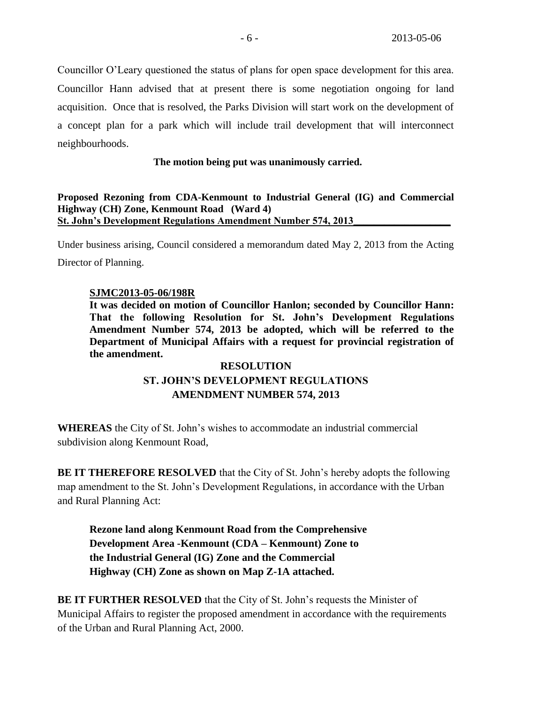Councillor O'Leary questioned the status of plans for open space development for this area. Councillor Hann advised that at present there is some negotiation ongoing for land acquisition. Once that is resolved, the Parks Division will start work on the development of a concept plan for a park which will include trail development that will interconnect neighbourhoods.

# **The motion being put was unanimously carried.**

### **Proposed Rezoning from CDA-Kenmount to Industrial General (IG) and Commercial Highway (CH) Zone, Kenmount Road (Ward 4) St. John's Development Regulations Amendment Number 574, 2013**

Under business arising, Council considered a memorandum dated May 2, 2013 from the Acting Director of Planning.

# **SJMC2013-05-06/198R**

**It was decided on motion of Councillor Hanlon; seconded by Councillor Hann: That the following Resolution for St. John's Development Regulations Amendment Number 574, 2013 be adopted, which will be referred to the Department of Municipal Affairs with a request for provincial registration of the amendment.**

# **RESOLUTION ST. JOHN'S DEVELOPMENT REGULATIONS AMENDMENT NUMBER 574, 2013**

**WHEREAS** the City of St. John's wishes to accommodate an industrial commercial subdivision along Kenmount Road,

**BE IT THEREFORE RESOLVED** that the City of St. John's hereby adopts the following map amendment to the St. John's Development Regulations, in accordance with the Urban and Rural Planning Act:

**Rezone land along Kenmount Road from the Comprehensive Development Area -Kenmount (CDA – Kenmount) Zone to the Industrial General (IG) Zone and the Commercial Highway (CH) Zone as shown on Map Z-1A attached.**

**BE IT FURTHER RESOLVED** that the City of St. John's requests the Minister of Municipal Affairs to register the proposed amendment in accordance with the requirements of the Urban and Rural Planning Act, 2000.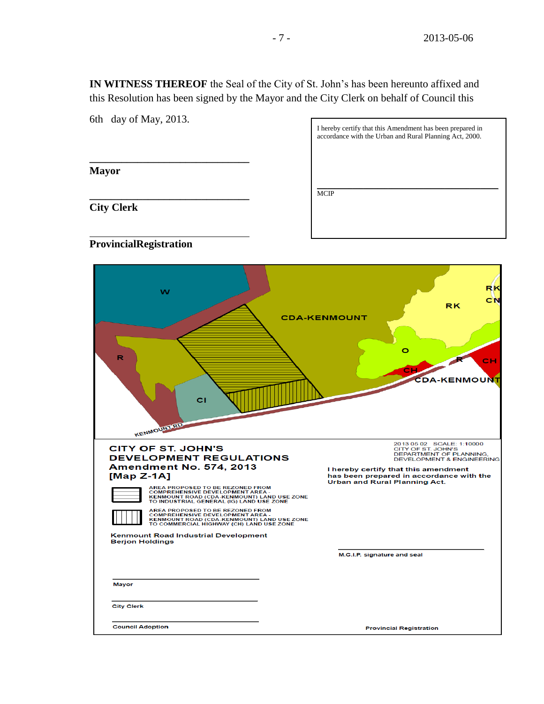**IN WITNESS THEREOF** the Seal of the City of St. John's has been hereunto affixed and this Resolution has been signed by the Mayor and the City Clerk on behalf of Council this

6th day of May, 2013.

**\_\_\_\_\_\_\_\_\_\_\_\_\_\_\_\_\_\_\_\_\_\_\_\_\_\_\_\_\_\_**

**\_\_\_\_\_\_\_\_\_\_\_\_\_\_\_\_\_\_\_\_\_\_\_\_\_\_\_\_\_\_** 

**Mayor**

I hereby certify that this Amendment has been prepared in accordance with the Urban and Rural Planning Act, 2000.  $\mathcal{L}_\text{max}$  and  $\mathcal{L}_\text{max}$  and  $\mathcal{L}_\text{max}$  and  $\mathcal{L}_\text{max}$  and  $\mathcal{L}_\text{max}$ MCIP

**City Clerk**

# **ProvincialRegistration**

| w<br>R<br>сı<br><b>KENMOUNTRD.</b>                                                                                                                                                                                                                                                                                                                                                                                                                                                                                                        | RK<br>СN<br>RK<br><b>CDA-KENMOUNT</b><br>cн<br>DA-KENMOUNT                                                                                                                                                                                                             |
|-------------------------------------------------------------------------------------------------------------------------------------------------------------------------------------------------------------------------------------------------------------------------------------------------------------------------------------------------------------------------------------------------------------------------------------------------------------------------------------------------------------------------------------------|------------------------------------------------------------------------------------------------------------------------------------------------------------------------------------------------------------------------------------------------------------------------|
| <b>CITY OF ST. JOHN'S</b><br><b>DEVELOPMENT REGULATIONS</b><br><b>Amendment No. 574, 2013</b><br>[Map $Z-1A$ ]<br>AREA PROPOSED TO BE REZONED FROM<br><b>COMPREHENSIVE DEVELOPMENT AREA -</b><br>KENMOUNT ROAD (CDA-KENMOUNT) LAND USE ZONE<br>TO INDUSTRIAL GENERAL (IG) LAND USE ZONE<br>AREA PROPOSED TO BE REZONED FROM<br><b>COMPREHENSIVE DEVELOPMENT AREA -</b><br>KENMOUNT ROAD (CDA-KENMOUNT) LAND USE ZONE<br>TO COMMERCIAL HIGHWAY (CH) LAND USE ZONE<br><b>Kenmount Road Industrial Development</b><br><b>Berjon Holdings</b> | 2013 05 02 SCALE: 1:10000<br>CITY OF ST. JOHN'S<br>DEPARTMENT OF PLANNING,<br><b>DEVELOPMENT &amp; ENGINEERING</b><br>I hereby certify that this amendment<br>has been prepared in accordance with the<br>Urban and Rural Planning Act.<br>M.C.I.P. signature and seal |
| <b>Mayor</b><br><b>City Clerk</b>                                                                                                                                                                                                                                                                                                                                                                                                                                                                                                         |                                                                                                                                                                                                                                                                        |
| <b>Council Adoption</b>                                                                                                                                                                                                                                                                                                                                                                                                                                                                                                                   | <b>Provincial Registration</b>                                                                                                                                                                                                                                         |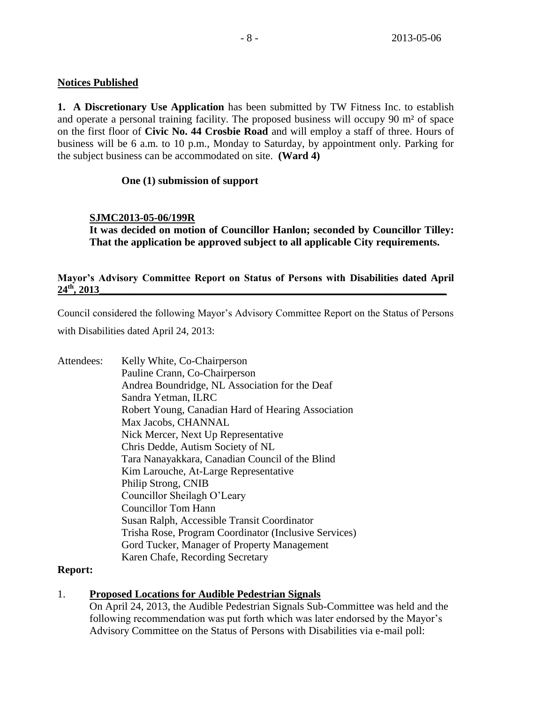# **Notices Published**

**1. A Discretionary Use Application** has been submitted by TW Fitness Inc. to establish and operate a personal training facility. The proposed business will occupy 90 m² of space on the first floor of **Civic No. 44 Crosbie Road** and will employ a staff of three. Hours of business will be 6 a.m. to 10 p.m., Monday to Saturday, by appointment only. Parking for the subject business can be accommodated on site. **(Ward 4)**

### **One (1) submission of support**

# **SJMC2013-05-06/199R**

**It was decided on motion of Councillor Hanlon; seconded by Councillor Tilley: That the application be approved subject to all applicable City requirements.**

# Mayor's Advisory Committee Report on Status of Persons with Disabilities dated April  $24<sup>th</sup>$ , 2013 **24th, 2013\_\_\_\_\_\_\_\_\_\_\_\_\_\_\_\_\_\_\_\_\_\_\_\_\_\_\_\_\_\_\_\_\_\_\_\_\_\_\_\_\_\_\_\_\_\_\_\_\_\_\_\_\_\_\_\_\_\_\_\_\_\_\_\_\_\_\_\_**

Council considered the following Mayor's Advisory Committee Report on the Status of Persons with Disabilities dated April 24, 2013:

Attendees: Kelly White, Co-Chairperson Pauline Crann, Co-Chairperson Andrea Boundridge, NL Association for the Deaf Sandra Yetman, ILRC Robert Young, Canadian Hard of Hearing Association Max Jacobs, CHANNAL Nick Mercer, Next Up Representative Chris Dedde, Autism Society of NL Tara Nanayakkara, Canadian Council of the Blind Kim Larouche, At-Large Representative Philip Strong, CNIB Councillor Sheilagh O'Leary Councillor Tom Hann Susan Ralph, Accessible Transit Coordinator Trisha Rose, Program Coordinator (Inclusive Services) Gord Tucker, Manager of Property Management Karen Chafe, Recording Secretary

### **Report:**

# 1. **Proposed Locations for Audible Pedestrian Signals**

On April 24, 2013, the Audible Pedestrian Signals Sub-Committee was held and the following recommendation was put forth which was later endorsed by the Mayor's Advisory Committee on the Status of Persons with Disabilities via e-mail poll: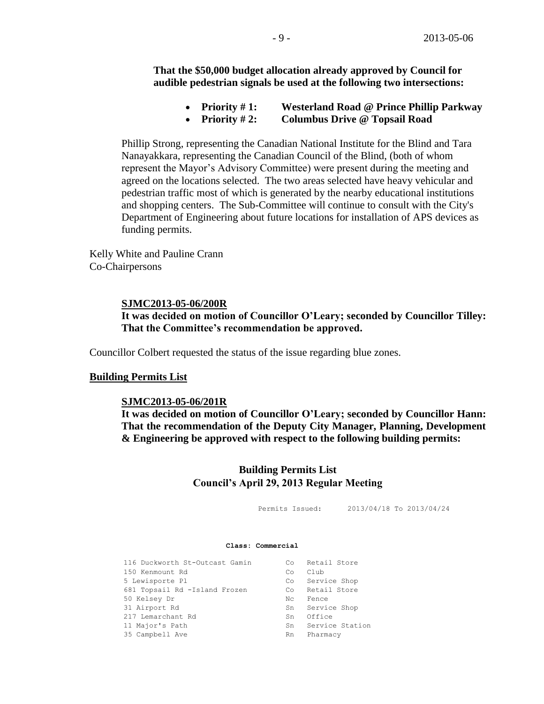**That the \$50,000 budget allocation already approved by Council for audible pedestrian signals be used at the following two intersections:**

- **Priority # 1: Westerland Road @ Prince Phillip Parkway**
- **Priority # 2: Columbus Drive @ Topsail Road**

Phillip Strong, representing the Canadian National Institute for the Blind and Tara Nanayakkara, representing the Canadian Council of the Blind, (both of whom represent the Mayor's Advisory Committee) were present during the meeting and agreed on the locations selected. The two areas selected have heavy vehicular and pedestrian traffic most of which is generated by the nearby educational institutions and shopping centers. The Sub-Committee will continue to consult with the City's Department of Engineering about future locations for installation of APS devices as funding permits.

Kelly White and Pauline Crann Co-Chairpersons

### **SJMC2013-05-06/200R**

### **It was decided on motion of Councillor O'Leary; seconded by Councillor Tilley: That the Committee's recommendation be approved.**

Councillor Colbert requested the status of the issue regarding blue zones.

#### **Building Permits List**

#### **SJMC2013-05-06/201R**

**It was decided on motion of Councillor O'Leary; seconded by Councillor Hann: That the recommendation of the Deputy City Manager, Planning, Development & Engineering be approved with respect to the following building permits:**

# **Building Permits List Council's April 29, 2013 Regular Meeting**

Permits Issued: 2013/04/18 To 2013/04/24

#### **Class: Commercial**

| 116 Duckworth St-Outcast Gamin | Co                 | Retail Store    |
|--------------------------------|--------------------|-----------------|
| 150 Kenmount Rd                | Co                 | Club            |
| 5 Lewisporte Pl                | $\mathbb{C} \circ$ | Service Shop    |
| 681 Topsail Rd -Island Frozen  | Co                 | Retail Store    |
| 50 Kelsey Dr                   | Nc.                | Fence           |
| 31 Airport Rd                  | Sn                 | Service Shop    |
| 217 Lemarchant Rd              | Sn                 | Office          |
| 11 Major's Path                | Sn                 | Service Station |
| 35 Campbell Ave                | Rn                 | Pharmacy        |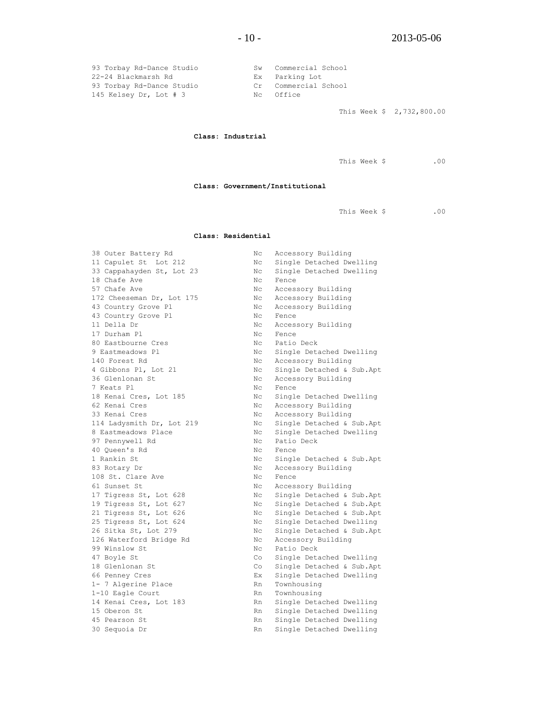| 93 Torbay Rd-Dance Studio | Sw Commercial School |
|---------------------------|----------------------|
| 22-24 Blackmarsh Rd       | Ex Parking Lot       |
| 93 Torbay Rd-Dance Studio | Cr Commercial School |
| 145 Kelsey Dr, Lot $#$ 3  | No Office            |
|                           |                      |

This Week \$ 2,732,800.00

**Class: Industrial**

This Week \$ .00

**Class: Government/Institutional**

This Week \$ .00

#### **Class: Residential**

| 38 Outer Battery Rd       | Nс  | Accessory Building        |
|---------------------------|-----|---------------------------|
| 11 Capulet St Lot 212     | Nс  | Single Detached Dwelling  |
| 33 Cappahayden St, Lot 23 | Nс  | Single Detached Dwelling  |
| 18 Chafe Ave              | Nc. | Fence                     |
| 57 Chafe Ave              | Nс  | Accessory Building        |
| 172 Cheeseman Dr, Lot 175 | Nс  | Accessory Building        |
| 43 Country Grove Pl       | Nс  | Accessory Building        |
| 43 Country Grove Pl       | Nc. | Fence                     |
| 11 Della Dr               | Nc  | Accessory Building        |
| 17 Durham Pl              | Nc. | Fence                     |
| 80 Eastbourne Cres        | Nc. | Patio Deck                |
| 9 Eastmeadows Pl          | Νc  | Single Detached Dwelling  |
| 140 Forest Rd             | Nс  | Accessory Building        |
| 4 Gibbons Pl, Lot 21      | Νc  | Single Detached & Sub.Apt |
| 36 Glenlonan St           | Nс  | Accessory Building        |
| 7 Keats Pl                | Nс  | Fence                     |
| 18 Kenai Cres, Lot 185    | Νc  | Single Detached Dwelling  |
| 62 Kenai Cres             | Nс  | Accessory Building        |
| 33 Kenai Cres             | Nс  | Accessory Building        |
| 114 Ladysmith Dr, Lot 219 | Nс  | Single Detached & Sub.Apt |
| 8 Eastmeadows Place       | Nc. | Single Detached Dwelling  |
| 97 Pennywell Rd           | Nc. | Patio Deck                |
| 40 Oueen's Rd             | Nc. | Fence                     |
| 1 Rankin St               | Nc. | Single Detached & Sub.Apt |
| 83 Rotary Dr              | Nc. | Accessory Building        |
| 108 St. Clare Ave         | Nc. | Fence                     |
| 61 Sunset St              | Νc  | Accessory Building        |
| 17 Tigress St, Lot 628    | Νc  | Single Detached & Sub.Apt |
| 19 Tigress St, Lot 627    | Νc  | Single Detached & Sub.Apt |
| 21 Tigress St, Lot 626    | Nс  | Single Detached & Sub.Apt |
| 25 Tigress St, Lot 624    | Nс  | Single Detached Dwelling  |
| 26 Sitka St, Lot 279      | Nс  | Single Detached & Sub.Apt |
| 126 Waterford Bridge Rd   | Nс  | Accessory Building        |
| 99 Winslow St             | Nс  | Patio Deck                |
| 47 Boyle St               | Co  | Single Detached Dwelling  |
| 18 Glenlonan St           | Co  | Single Detached & Sub.Apt |
| 66 Penney Cres            | Ex. | Single Detached Dwelling  |
| 1- 7 Algerine Place       | Rn  | Townhousing               |
| 1-10 Eagle Court          | Rn  | Townhousing               |
| 14 Kenai Cres, Lot 183    | Rn  | Single Detached Dwelling  |
| 15 Oberon St              | Rn  | Single Detached Dwelling  |
| 45 Pearson St             | Rn  | Single Detached Dwelling  |
| 30 Sequoia Dr             | Rn  | Single Detached Dwelling  |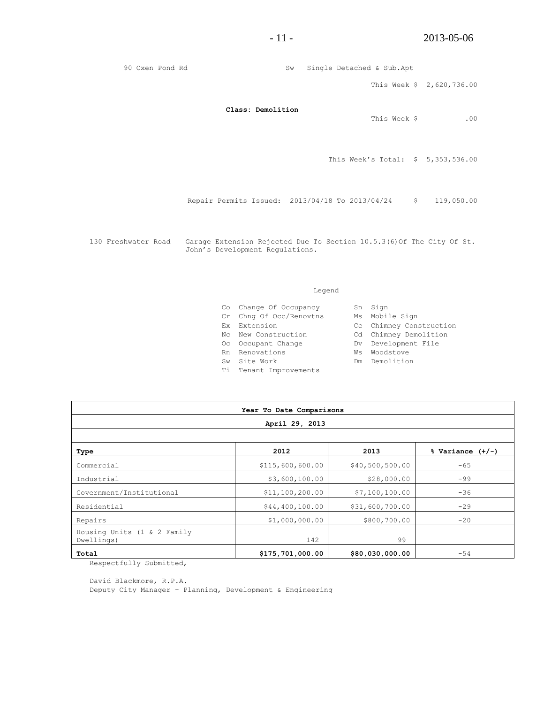90 Oxen Pond Rd Sw Single Detached & Sub.Apt This Week \$ 2,620,736.00 **Class: Demolition** This Week \$ .00 This Week's Total: \$ 5,353,536.00 Repair Permits Issued: 2013/04/18 To 2013/04/24 \$ 119,050.00 130 Freshwater Road Garage Extension Rejected Due To Section 10.5.3(6)Of The City Of St. John's Development Regulations.

#### Legend

| Co Change Of Occupancy  | Sn Sign                 |
|-------------------------|-------------------------|
| Cr Chng Of Occ/Renovtns | Ms Mobile Sign          |
| Ex Extension            | Cc Chimney Construction |
| Nc Wew Construction     | Cd Chimney Demolition   |
| Oc Occupant Change      | Dv Development File     |
| Rn Renovations          | Ws Woodstove            |
| Sw Site Work            | Dm Demolition           |
| Ti Tenant Improvements  |                         |
|                         |                         |

| Year To Date Comparisons                  |                  |                 |                      |  |  |
|-------------------------------------------|------------------|-----------------|----------------------|--|--|
| April 29, 2013                            |                  |                 |                      |  |  |
|                                           |                  |                 |                      |  |  |
| Type                                      | 2012             | 2013            | $%$ Variance $(+/-)$ |  |  |
| Commercial                                | \$115,600,600.00 | \$40,500,500.00 | $-65$                |  |  |
| Industrial                                | \$3,600,100.00   | \$28,000.00     | $-99$                |  |  |
| Government/Institutional                  | \$11,100,200.00  | \$7,100,100.00  | $-36$                |  |  |
| Residential                               | \$44,400,100.00  | \$31,600,700.00 | $-29$                |  |  |
| Repairs                                   | \$1,000,000.00   | \$800,700.00    | $-20$                |  |  |
| Housing Units (1 & 2 Family<br>Dwellings) | 142              | 99              |                      |  |  |
| Total                                     | \$175,701,000.00 | \$80,030,000.00 | $-54$                |  |  |

Respectfully Submitted,

David Blackmore, R.P.A.

Deputy City Manager – Planning, Development & Engineering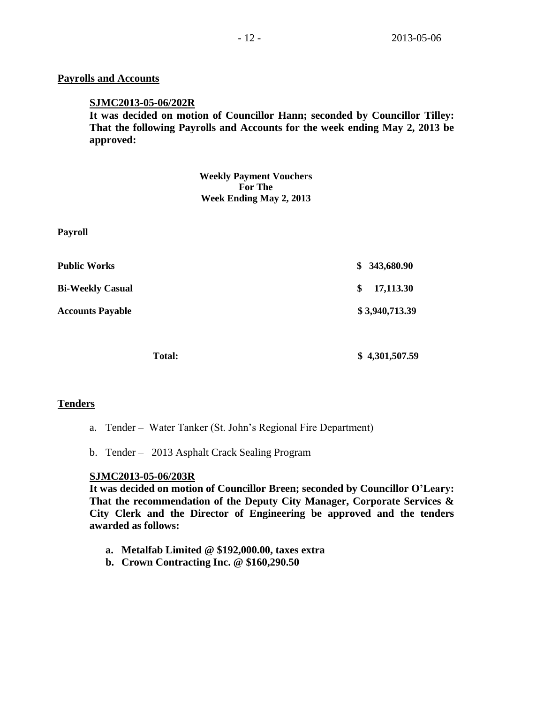### **Payrolls and Accounts**

### **SJMC2013-05-06/202R**

**It was decided on motion of Councillor Hann; seconded by Councillor Tilley: That the following Payrolls and Accounts for the week ending May 2, 2013 be approved:**

> **Weekly Payment Vouchers For The Week Ending May 2, 2013**

| <b>Payroll</b>          |                  |
|-------------------------|------------------|
| <b>Public Works</b>     | 343,680.90<br>\$ |
| <b>Bi-Weekly Casual</b> | \$<br>17,113.30  |
| <b>Accounts Payable</b> | \$3,940,713.39   |
| <b>Total:</b>           | \$4,301,507.59   |

# **Tenders**

- a. Tender Water Tanker (St. John's Regional Fire Department)
- b. Tender 2013 Asphalt Crack Sealing Program

# **SJMC2013-05-06/203R**

**It was decided on motion of Councillor Breen; seconded by Councillor O'Leary: That the recommendation of the Deputy City Manager, Corporate Services & City Clerk and the Director of Engineering be approved and the tenders awarded as follows:**

- **a. Metalfab Limited @ \$192,000.00, taxes extra**
- **b. Crown Contracting Inc. @ \$160,290.50**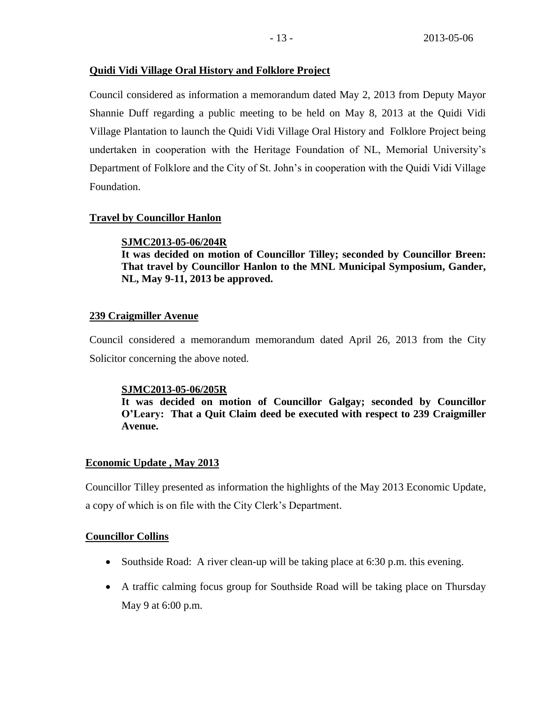### **Quidi Vidi Village Oral History and Folklore Project**

Council considered as information a memorandum dated May 2, 2013 from Deputy Mayor Shannie Duff regarding a public meeting to be held on May 8, 2013 at the Quidi Vidi Village Plantation to launch the Quidi Vidi Village Oral History and Folklore Project being undertaken in cooperation with the Heritage Foundation of NL, Memorial University's Department of Folklore and the City of St. John's in cooperation with the Quidi Vidi Village Foundation.

### **Travel by Councillor Hanlon**

### **SJMC2013-05-06/204R**

**It was decided on motion of Councillor Tilley; seconded by Councillor Breen: That travel by Councillor Hanlon to the MNL Municipal Symposium, Gander, NL, May 9-11, 2013 be approved.**

### **239 Craigmiller Avenue**

Council considered a memorandum memorandum dated April 26, 2013 from the City Solicitor concerning the above noted.

### **SJMC2013-05-06/205R**

**It was decided on motion of Councillor Galgay; seconded by Councillor O'Leary: That a Quit Claim deed be executed with respect to 239 Craigmiller Avenue.**

# **Economic Update , May 2013**

Councillor Tilley presented as information the highlights of the May 2013 Economic Update, a copy of which is on file with the City Clerk's Department.

### **Councillor Collins**

- Southside Road: A river clean-up will be taking place at 6:30 p.m. this evening.
- A traffic calming focus group for Southside Road will be taking place on Thursday May 9 at 6:00 p.m.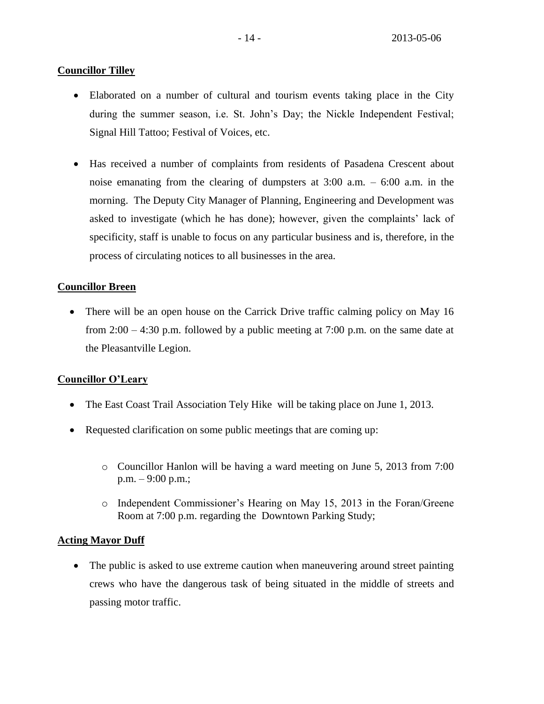# **Councillor Tilley**

- Elaborated on a number of cultural and tourism events taking place in the City during the summer season, i.e. St. John's Day; the Nickle Independent Festival; Signal Hill Tattoo; Festival of Voices, etc.
- Has received a number of complaints from residents of Pasadena Crescent about noise emanating from the clearing of dumpsters at  $3:00$  a.m. – 6:00 a.m. in the morning. The Deputy City Manager of Planning, Engineering and Development was asked to investigate (which he has done); however, given the complaints' lack of specificity, staff is unable to focus on any particular business and is, therefore, in the process of circulating notices to all businesses in the area.

# **Councillor Breen**

• There will be an open house on the Carrick Drive traffic calming policy on May 16 from 2:00 – 4:30 p.m. followed by a public meeting at 7:00 p.m. on the same date at the Pleasantville Legion.

# **Councillor O'Leary**

- The East Coast Trail Association Tely Hike will be taking place on June 1, 2013.
- Requested clarification on some public meetings that are coming up:
	- o Councillor Hanlon will be having a ward meeting on June 5, 2013 from 7:00 p.m. – 9:00 p.m.;
	- o Independent Commissioner's Hearing on May 15, 2013 in the Foran/Greene Room at 7:00 p.m. regarding the Downtown Parking Study;

# **Acting Mayor Duff**

• The public is asked to use extreme caution when maneuvering around street painting crews who have the dangerous task of being situated in the middle of streets and passing motor traffic.